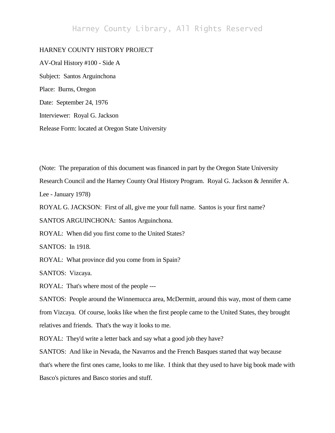## Harney County Library, All Rights Reserved

## HARNEY COUNTY HISTORY PROJECT

AV-Oral History #100 - Side A Subject: Santos Arguinchona Place: Burns, Oregon Date: September 24, 1976 Interviewer: Royal G. Jackson Release Form: located at Oregon State University

(Note: The preparation of this document was financed in part by the Oregon State University

Research Council and the Harney County Oral History Program. Royal G. Jackson & Jennifer A.

Lee - January 1978)

ROYAL G. JACKSON: First of all, give me your full name. Santos is your first name?

SANTOS ARGUINCHONA: Santos Arguinchona.

ROYAL: When did you first come to the United States?

SANTOS: In 1918.

ROYAL: What province did you come from in Spain?

SANTOS: Vizcaya.

ROYAL: That's where most of the people ---

SANTOS: People around the Winnemucca area, McDermitt, around this way, most of them came from Vizcaya. Of course, looks like when the first people came to the United States, they brought relatives and friends. That's the way it looks to me.

ROYAL: They'd write a letter back and say what a good job they have?

SANTOS: And like in Nevada, the Navarros and the French Basques started that way because that's where the first ones came, looks to me like. I think that they used to have big book made with Basco's pictures and Basco stories and stuff.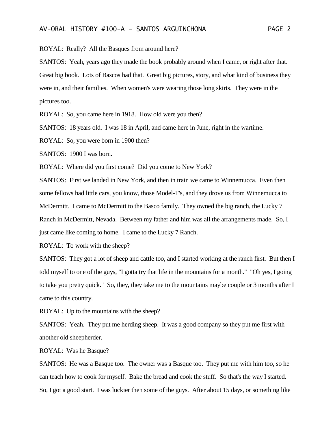ROYAL: Really? All the Basques from around here?

SANTOS: Yeah, years ago they made the book probably around when I came, or right after that.

Great big book. Lots of Bascos had that. Great big pictures, story, and what kind of business they were in, and their families. When women's were wearing those long skirts. They were in the pictures too.

ROYAL: So, you came here in 1918. How old were you then?

SANTOS: 18 years old. I was 18 in April, and came here in June, right in the wartime.

ROYAL: So, you were born in 1900 then?

SANTOS: 1900 I was born.

ROYAL: Where did you first come? Did you come to New York?

SANTOS: First we landed in New York, and then in train we came to Winnemucca. Even then some fellows had little cars, you know, those Model-T's, and they drove us from Winnemucca to McDermitt. I came to McDermitt to the Basco family. They owned the big ranch, the Lucky 7 Ranch in McDermitt, Nevada. Between my father and him was all the arrangements made. So, I just came like coming to home. I came to the Lucky 7 Ranch.

ROYAL: To work with the sheep?

SANTOS: They got a lot of sheep and cattle too, and I started working at the ranch first. But then I told myself to one of the guys, "I gotta try that life in the mountains for a month." "Oh yes, I going to take you pretty quick." So, they, they take me to the mountains maybe couple or 3 months after I came to this country.

ROYAL: Up to the mountains with the sheep?

SANTOS: Yeah. They put me herding sheep. It was a good company so they put me first with another old sheepherder.

ROYAL: Was he Basque?

SANTOS: He was a Basque too. The owner was a Basque too. They put me with him too, so he can teach how to cook for myself. Bake the bread and cook the stuff. So that's the way I started. So, I got a good start. I was luckier then some of the guys. After about 15 days, or something like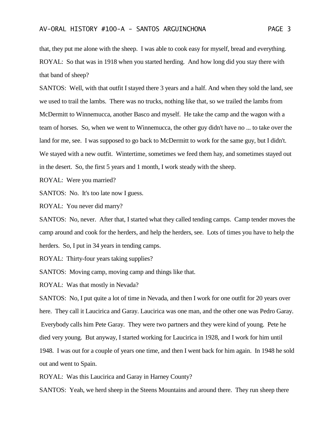that, they put me alone with the sheep. I was able to cook easy for myself, bread and everything. ROYAL: So that was in 1918 when you started herding. And how long did you stay there with that band of sheep?

SANTOS: Well, with that outfit I stayed there 3 years and a half. And when they sold the land, see we used to trail the lambs. There was no trucks, nothing like that, so we trailed the lambs from McDermitt to Winnemucca, another Basco and myself. He take the camp and the wagon with a team of horses. So, when we went to Winnemucca, the other guy didn't have no ... to take over the land for me, see. I was supposed to go back to McDermitt to work for the same guy, but I didn't. We stayed with a new outfit. Wintertime, sometimes we feed them hay, and sometimes stayed out in the desert. So, the first 5 years and 1 month, I work steady with the sheep.

ROYAL: Were you married?

SANTOS: No. It's too late now I guess.

ROYAL: You never did marry?

SANTOS: No, never. After that, I started what they called tending camps. Camp tender moves the camp around and cook for the herders, and help the herders, see. Lots of times you have to help the herders. So, I put in 34 years in tending camps.

ROYAL: Thirty-four years taking supplies?

SANTOS: Moving camp, moving camp and things like that.

ROYAL: Was that mostly in Nevada?

SANTOS: No, I put quite a lot of time in Nevada, and then I work for one outfit for 20 years over here. They call it Laucirica and Garay. Laucirica was one man, and the other one was Pedro Garay. Everybody calls him Pete Garay. They were two partners and they were kind of young. Pete he died very young. But anyway, I started working for Laucirica in 1928, and I work for him until 1948. I was out for a couple of years one time, and then I went back for him again. In 1948 he sold out and went to Spain.

ROYAL: Was this Laucirica and Garay in Harney County?

SANTOS: Yeah, we herd sheep in the Steens Mountains and around there. They run sheep there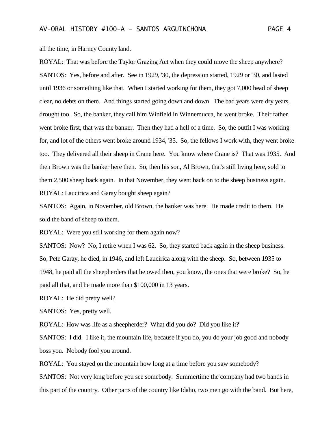all the time, in Harney County land.

ROYAL: That was before the Taylor Grazing Act when they could move the sheep anywhere? SANTOS: Yes, before and after. See in 1929, '30, the depression started, 1929 or '30, and lasted until 1936 or something like that. When I started working for them, they got 7,000 head of sheep clear, no debts on them. And things started going down and down. The bad years were dry years, drought too. So, the banker, they call him Winfield in Winnemucca, he went broke. Their father went broke first, that was the banker. Then they had a hell of a time. So, the outfit I was working for, and lot of the others went broke around 1934, '35. So, the fellows I work with, they went broke too. They delivered all their sheep in Crane here. You know where Crane is? That was 1935. And then Brown was the banker here then. So, then his son, Al Brown, that's still living here, sold to them 2,500 sheep back again. In that November, they went back on to the sheep business again. ROYAL: Laucirica and Garay bought sheep again?

SANTOS: Again, in November, old Brown, the banker was here. He made credit to them. He sold the band of sheep to them.

ROYAL: Were you still working for them again now?

SANTOS: Now? No, I retire when I was 62. So, they started back again in the sheep business. So, Pete Garay, he died, in 1946, and left Laucirica along with the sheep. So, between 1935 to 1948, he paid all the sheepherders that he owed then, you know, the ones that were broke? So, he paid all that, and he made more than \$100,000 in 13 years.

ROYAL: He did pretty well?

SANTOS: Yes, pretty well.

ROYAL: How was life as a sheepherder? What did you do? Did you like it?

SANTOS: I did. I like it, the mountain life, because if you do, you do your job good and nobody boss you. Nobody fool you around.

ROYAL: You stayed on the mountain how long at a time before you saw somebody?

SANTOS: Not very long before you see somebody. Summertime the company had two bands in this part of the country. Other parts of the country like Idaho, two men go with the band. But here,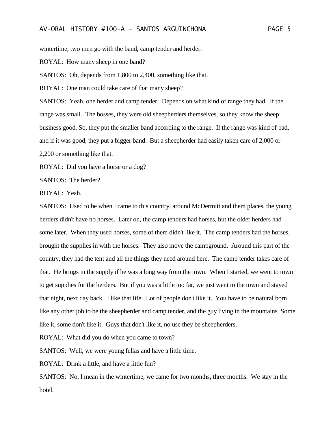wintertime, two men go with the band, camp tender and herder.

ROYAL: How many sheep in one band?

SANTOS: Oh, depends from 1,800 to 2,400, something like that.

ROYAL: One man could take care of that many sheep?

SANTOS: Yeah, one herder and camp tender. Depends on what kind of range they had. If the range was small. The bosses, they were old sheepherders themselves, so they know the sheep business good. So, they put the smaller band according to the range. If the range was kind of bad, and if it was good, they put a bigger band. But a sheepherder had easily taken care of 2,000 or 2,200 or something like that.

ROYAL: Did you have a horse or a dog?

SANTOS: The herder?

ROYAL: Yeah.

SANTOS: Used to be when I came to this country, around McDermitt and them places, the young herders didn't have no horses. Later on, the camp tenders had horses, but the older herders had some later. When they used horses, some of them didn't like it. The camp tenders had the horses, brought the supplies in with the horses. They also move the campground. Around this part of the country, they had the tent and all the things they need around here. The camp tender takes care of that. He brings in the supply if he was a long way from the town. When I started, we went to town to get supplies for the herders. But if you was a little too far, we just went to the town and stayed that night, next day back. I like that life. Lot of people don't like it. You have to be natural born like any other job to be the sheepherder and camp tender, and the guy living in the mountains. Some like it, some don't like it. Guys that don't like it, no use they be sheepherders.

ROYAL: What did you do when you came to town?

SANTOS: Well, we were young fellas and have a little time.

ROYAL: Drink a little, and have a little fun?

SANTOS: No, I mean in the wintertime, we came for two months, three months. We stay in the hotel.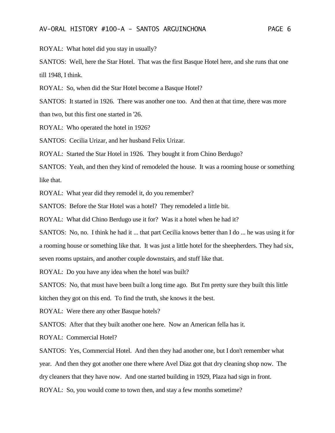ROYAL: What hotel did you stay in usually?

SANTOS: Well, here the Star Hotel. That was the first Basque Hotel here, and she runs that one till 1948, I think.

ROYAL: So, when did the Star Hotel become a Basque Hotel?

SANTOS: It started in 1926. There was another one too. And then at that time, there was more than two, but this first one started in '26.

ROYAL: Who operated the hotel in 1926?

SANTOS: Cecilia Urizar, and her husband Felix Urizar.

ROYAL: Started the Star Hotel in 1926. They bought it from Chino Berdugo?

SANTOS: Yeah, and then they kind of remodeled the house. It was a rooming house or something like that.

ROYAL: What year did they remodel it, do you remember?

SANTOS: Before the Star Hotel was a hotel? They remodeled a little bit.

ROYAL: What did Chino Berdugo use it for? Was it a hotel when he had it?

SANTOS: No, no. I think he had it ... that part Cecilia knows better than I do ... he was using it for a rooming house or something like that. It was just a little hotel for the sheepherders. They had six, seven rooms upstairs, and another couple downstairs, and stuff like that.

ROYAL: Do you have any idea when the hotel was built?

SANTOS: No, that must have been built a long time ago. But I'm pretty sure they built this little kitchen they got on this end. To find the truth, she knows it the best.

ROYAL: Were there any other Basque hotels?

SANTOS: After that they built another one here. Now an American fella has it.

ROYAL: Commercial Hotel?

SANTOS: Yes, Commercial Hotel. And then they had another one, but I don't remember what year. And then they got another one there where Avel Diaz got that dry cleaning shop now. The dry cleaners that they have now. And one started building in 1929, Plaza had sign in front.

ROYAL: So, you would come to town then, and stay a few months sometime?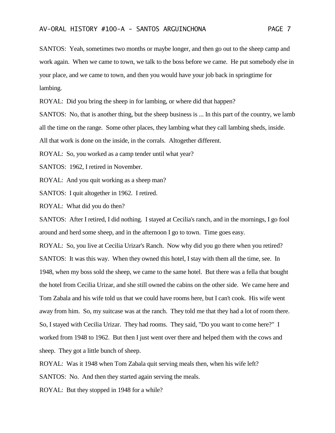SANTOS: Yeah, sometimes two months or maybe longer, and then go out to the sheep camp and work again. When we came to town, we talk to the boss before we came. He put somebody else in your place, and we came to town, and then you would have your job back in springtime for lambing.

ROYAL: Did you bring the sheep in for lambing, or where did that happen?

SANTOS: No, that is another thing, but the sheep business is ... In this part of the country, we lamb all the time on the range. Some other places, they lambing what they call lambing sheds, inside. All that work is done on the inside, in the corrals. Altogether different.

ROYAL: So, you worked as a camp tender until what year?

SANTOS: 1962, I retired in November.

ROYAL: And you quit working as a sheep man?

SANTOS: I quit altogether in 1962. I retired.

ROYAL: What did you do then?

SANTOS: After I retired, I did nothing. I stayed at Cecilia's ranch, and in the mornings, I go fool around and herd some sheep, and in the afternoon I go to town. Time goes easy.

ROYAL: So, you live at Cecilia Urizar's Ranch. Now why did you go there when you retired? SANTOS: It was this way. When they owned this hotel, I stay with them all the time, see. In 1948, when my boss sold the sheep, we came to the same hotel. But there was a fella that bought the hotel from Cecilia Urizar, and she still owned the cabins on the other side. We came here and Tom Zabala and his wife told us that we could have rooms here, but I can't cook. His wife went away from him. So, my suitcase was at the ranch. They told me that they had a lot of room there. So, I stayed with Cecilia Urizar. They had rooms. They said, "Do you want to come here?" I worked from 1948 to 1962. But then I just went over there and helped them with the cows and sheep. They got a little bunch of sheep.

ROYAL: Was it 1948 when Tom Zabala quit serving meals then, when his wife left?

SANTOS: No. And then they started again serving the meals.

ROYAL: But they stopped in 1948 for a while?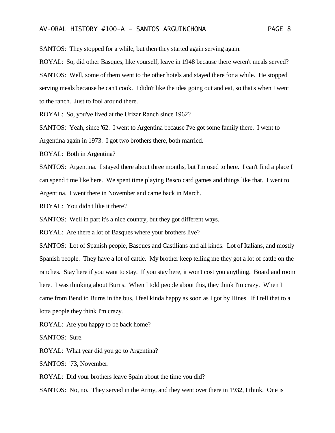SANTOS: They stopped for a while, but then they started again serving again.

ROYAL: So, did other Basques, like yourself, leave in 1948 because there weren't meals served? SANTOS: Well, some of them went to the other hotels and stayed there for a while. He stopped serving meals because he can't cook. I didn't like the idea going out and eat, so that's when I went to the ranch. Just to fool around there.

ROYAL: So, you've lived at the Urizar Ranch since 1962?

SANTOS: Yeah, since '62. I went to Argentina because I've got some family there. I went to Argentina again in 1973. I got two brothers there, both married.

ROYAL: Both in Argentina?

SANTOS: Argentina. I stayed there about three months, but I'm used to here. I can't find a place I can spend time like here. We spent time playing Basco card games and things like that. I went to Argentina. I went there in November and came back in March.

ROYAL: You didn't like it there?

SANTOS: Well in part it's a nice country, but they got different ways.

ROYAL: Are there a lot of Basques where your brothers live?

SANTOS: Lot of Spanish people, Basques and Castilians and all kinds. Lot of Italians, and mostly Spanish people. They have a lot of cattle. My brother keep telling me they got a lot of cattle on the ranches. Stay here if you want to stay. If you stay here, it won't cost you anything. Board and room here. I was thinking about Burns. When I told people about this, they think I'm crazy. When I came from Bend to Burns in the bus, I feel kinda happy as soon as I got by Hines. If I tell that to a lotta people they think I'm crazy.

ROYAL: Are you happy to be back home?

SANTOS: Sure.

ROYAL: What year did you go to Argentina?

SANTOS: '73, November.

ROYAL: Did your brothers leave Spain about the time you did?

SANTOS: No, no. They served in the Army, and they went over there in 1932, I think. One is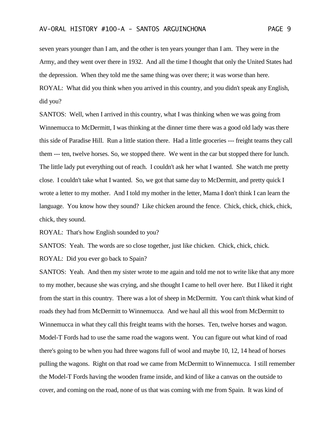seven years younger than I am, and the other is ten years younger than I am. They were in the Army, and they went over there in 1932. And all the time I thought that only the United States had the depression. When they told me the same thing was over there; it was worse than here. ROYAL: What did you think when you arrived in this country, and you didn't speak any English, did you?

SANTOS: Well, when I arrived in this country, what I was thinking when we was going from Winnemucca to McDermitt, I was thinking at the dinner time there was a good old lady was there this side of Paradise Hill. Run a little station there. Had a little groceries --- freight teams they call them --- ten, twelve horses. So, we stopped there. We went in the car but stopped there for lunch. The little lady put everything out of reach. I couldn't ask her what I wanted. She watch me pretty close. I couldn't take what I wanted. So, we got that same day to McDermitt, and pretty quick I wrote a letter to my mother. And I told my mother in the letter, Mama I don't think I can learn the language. You know how they sound? Like chicken around the fence. Chick, chick, chick, chick, chick, they sound.

ROYAL: That's how English sounded to you?

SANTOS: Yeah. The words are so close together, just like chicken. Chick, chick, chick.

ROYAL: Did you ever go back to Spain?

SANTOS: Yeah. And then my sister wrote to me again and told me not to write like that any more to my mother, because she was crying, and she thought I came to hell over here. But I liked it right from the start in this country. There was a lot of sheep in McDermitt. You can't think what kind of roads they had from McDermitt to Winnemucca. And we haul all this wool from McDermitt to Winnemucca in what they call this freight teams with the horses. Ten, twelve horses and wagon. Model-T Fords had to use the same road the wagons went. You can figure out what kind of road there's going to be when you had three wagons full of wool and maybe 10, 12, 14 head of horses pulling the wagons. Right on that road we came from McDermitt to Winnemucca. I still remember the Model-T Fords having the wooden frame inside, and kind of like a canvas on the outside to cover, and coming on the road, none of us that was coming with me from Spain. It was kind of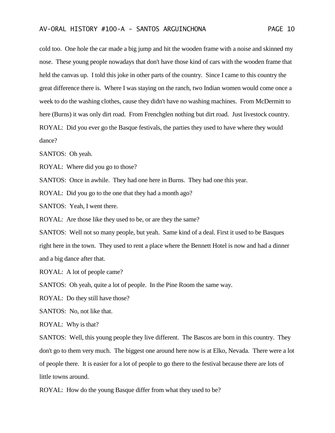cold too. One hole the car made a big jump and hit the wooden frame with a noise and skinned my nose. These young people nowadays that don't have those kind of cars with the wooden frame that held the canvas up. I told this joke in other parts of the country. Since I came to this country the great difference there is. Where I was staying on the ranch, two Indian women would come once a week to do the washing clothes, cause they didn't have no washing machines. From McDermitt to here (Burns) it was only dirt road. From Frenchglen nothing but dirt road. Just livestock country. ROYAL: Did you ever go the Basque festivals, the parties they used to have where they would dance?

SANTOS: Oh yeah.

ROYAL: Where did you go to those?

SANTOS: Once in awhile. They had one here in Burns. They had one this year.

ROYAL: Did you go to the one that they had a month ago?

SANTOS: Yeah, I went there.

ROYAL: Are those like they used to be, or are they the same?

SANTOS: Well not so many people, but yeah. Same kind of a deal. First it used to be Basques right here in the town. They used to rent a place where the Bennett Hotel is now and had a dinner and a big dance after that.

ROYAL: A lot of people came?

SANTOS: Oh yeah, quite a lot of people. In the Pine Room the same way.

ROYAL: Do they still have those?

SANTOS: No, not like that.

ROYAL: Why is that?

SANTOS: Well, this young people they live different. The Bascos are born in this country. They don't go to them very much. The biggest one around here now is at Elko, Nevada. There were a lot of people there. It is easier for a lot of people to go there to the festival because there are lots of little towns around.

ROYAL: How do the young Basque differ from what they used to be?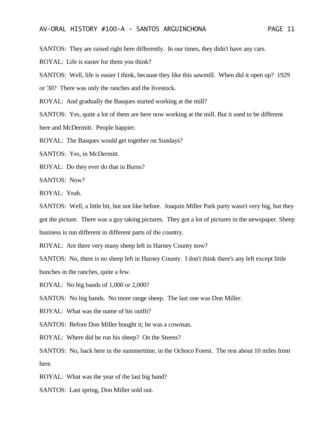SANTOS: They are raised right here differently. In our times, they didn't have any cars.

ROYAL: Life is easier for them you think?

SANTOS: Well, life is easier I think, because they like this sawmill. When did it open up? 1929

or '30? There was only the ranches and the livestock.

ROYAL: And gradually the Basques started working at the mill?

SANTOS: Yes, quite a lot of them are here now working at the mill. But it used to be different

here and McDermitt. People happier.

ROYAL: The Basques would get together on Sundays?

SANTOS: Yes, in McDermitt.

ROYAL: Do they ever do that in Burns?

SANTOS: Now?

ROYAL: Yeah.

SANTOS: Well, a little bit, but not like before. Joaquin Miller Park party wasn't very big, but they got the picture. There was a guy taking pictures. They got a lot of pictures in the newspaper. Sheep business is run different in different parts of the country.

ROYAL: Are there very many sheep left in Harney County now?

SANTOS: No, there is no sheep left in Harney County. I don't think there's any left except little bunches in the ranches, quite a few.

ROYAL: No big bands of 1,000 or 2,000?

SANTOS: No big bands. No more range sheep. The last one was Don Miller.

ROYAL: What was the name of his outfit?

SANTOS: Before Don Miller bought it; he was a cowman.

ROYAL: Where did he run his sheep? On the Steens?

SANTOS: No, back here in the summertime, in the Ochoco Forest. The rest about 10 miles from here.

ROYAL: What was the year of the last big band?

SANTOS: Last spring, Don Miller sold out.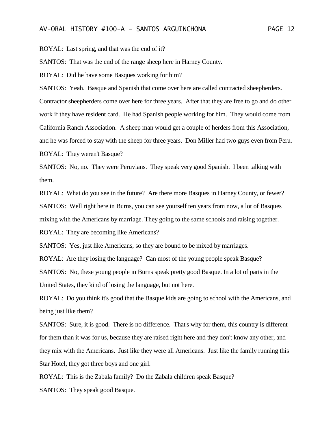ROYAL: Last spring, and that was the end of it?

SANTOS: That was the end of the range sheep here in Harney County.

ROYAL: Did he have some Basques working for him?

SANTOS: Yeah. Basque and Spanish that come over here are called contracted sheepherders. Contractor sheepherders come over here for three years. After that they are free to go and do other work if they have resident card. He had Spanish people working for him. They would come from California Ranch Association. A sheep man would get a couple of herders from this Association, and he was forced to stay with the sheep for three years. Don Miller had two guys even from Peru. ROYAL: They weren't Basque?

SANTOS: No, no. They were Peruvians. They speak very good Spanish. I been talking with them.

ROYAL: What do you see in the future? Are there more Basques in Harney County, or fewer? SANTOS: Well right here in Burns, you can see yourself ten years from now, a lot of Basques mixing with the Americans by marriage. They going to the same schools and raising together.

ROYAL: They are becoming like Americans?

SANTOS: Yes, just like Americans, so they are bound to be mixed by marriages.

ROYAL: Are they losing the language? Can most of the young people speak Basque?

SANTOS: No, these young people in Burns speak pretty good Basque. In a lot of parts in the United States, they kind of losing the language, but not here.

ROYAL: Do you think it's good that the Basque kids are going to school with the Americans, and being just like them?

SANTOS: Sure, it is good. There is no difference. That's why for them, this country is different for them than it was for us, because they are raised right here and they don't know any other, and they mix with the Americans. Just like they were all Americans. Just like the family running this Star Hotel, they got three boys and one girl.

ROYAL: This is the Zabala family? Do the Zabala children speak Basque?

SANTOS: They speak good Basque.